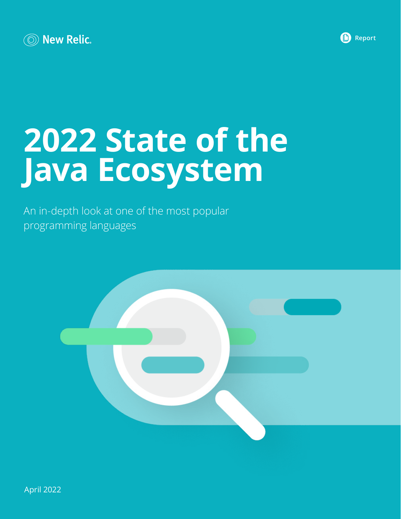



# **2022 State of the Java Ecosystem**

An in-depth look at one of the most popular programming languages

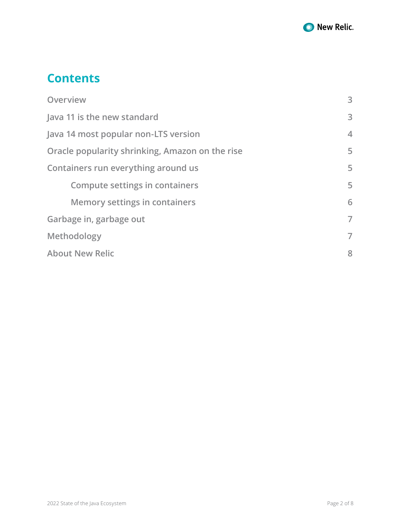

## **Contents**

| Overview                                        | 3              |
|-------------------------------------------------|----------------|
| Java 11 is the new standard                     | 3              |
| Java 14 most popular non-LTS version            | $\overline{4}$ |
| Oracle popularity shrinking, Amazon on the rise | 5              |
| Containers run everything around us             | 5              |
| <b>Compute settings in containers</b>           | 5              |
| <b>Memory settings in containers</b>            | 6              |
| Garbage in, garbage out                         | $\overline{7}$ |
| Methodology                                     | $\overline{7}$ |
| <b>About New Relic</b>                          | 8              |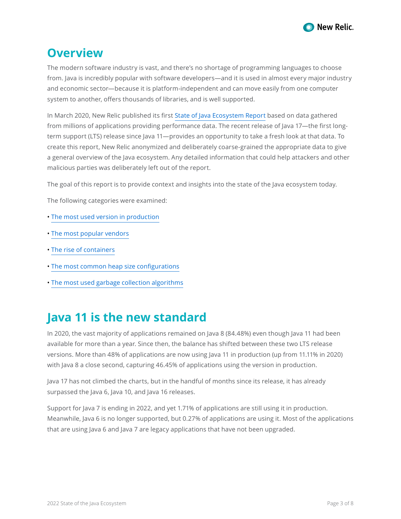

#### <span id="page-2-0"></span>**Overview**

The modern software industry is vast, and there's no shortage of programming languages to choose from. Java is incredibly popular with software developers—and it is used in almost every major industry and economic sector—because it is platform-independent and can move easily from one computer system to another, offers thousands of libraries, and is well supported.

In March 2020, New Relic published its first [State of Java Ecosystem Report](https://newrelic.com/blog/nerd-life/state-of-java) based on data gathered from millions of applications providing performance data. The recent release of Java 17—the first longterm support (LTS) release since Java 11—provides an opportunity to take a fresh look at that data. To create this report, New Relic anonymized and deliberately coarse-grained the appropriate data to give a general overview of the Java ecosystem. Any detailed information that could help attackers and other malicious parties was deliberately left out of the report.

The goal of this report is to provide context and insights into the state of the Java ecosystem today.

The following categories were examined:

- • [The most used version in production](#page-2-1)
- • [The most popular vendors](#page-4-1)
- • [The rise of containers](#page-4-2)
- [The most common heap size confi](#page-5-1)gurations
- • [The most used garbage collection algorithms](#page-6-1)

#### <span id="page-2-1"></span>**Java 11 is the new standard**

In 2020, the vast majority of applications remained on Java 8 (84.48%) even though Java 11 had been available for more than a year. Since then, the balance has shifted between these two LTS release versions. More than 48% of applications are now using Java 11 in production (up from 11.11% in 2020) with Java 8 a close second, capturing 46.45% of applications using the version in production.

Java 17 has not climbed the charts, but in the handful of months since its release, it has already surpassed the Java 6, Java 10, and Java 16 releases.

Support for Java 7 is ending in 2022, and yet 1.71% of applications are still using it in production. Meanwhile, Java 6 is no longer supported, but 0.27% of applications are using it. Most of the applications that are using Java 6 and Java 7 are legacy applications that have not been upgraded.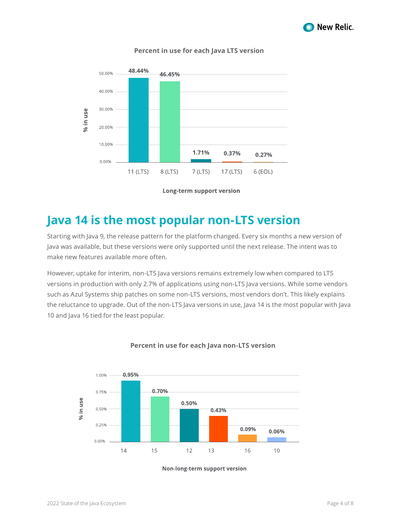

<span id="page-3-0"></span>

#### **Percent in use for each Java LTS version**

**Long-term support version** 

## **Java 14 is the most popular non-LTS version**

Starting with Java 9, the release pattern for the platform changed. Every six months a new version of Java was available, but these versions were only supported until the next release. The intent was to make new features available more often.

However, uptake for interim, non-LTS Java versions remains extremely low when compared to LTS versions in production with only 2.7% of applications using non-LTS Java versions. While some vendors such as Azul Systems ship patches on some non-LTS versions, most vendors don't. This likely explains the reluctance to upgrade. Out of the non-LTS Java versions in use, Java 14 is the most popular with Java 10 and Java 16 tied for the least popular.



#### **Percent in use for each Java non-LTS version**

Non-long-term support version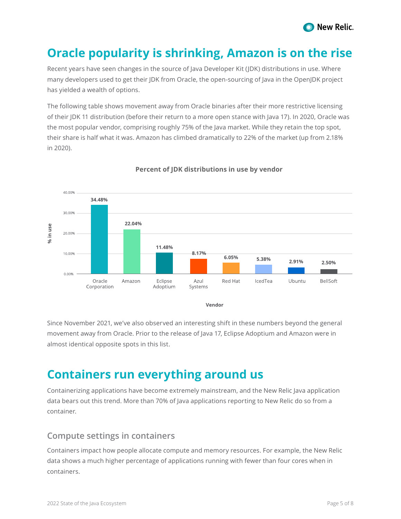

## <span id="page-4-1"></span><span id="page-4-0"></span>**Oracle popularity is shrinking, Amazon is on the rise**

Recent years have seen changes in the source of Java Developer Kit (JDK) distributions in use. Where many developers used to get their JDK from Oracle, the open-sourcing of Java in the OpenJDK project has yielded a wealth of options.

The following table shows movement away from Oracle binaries after their more restrictive licensing of their JDK 11 distribution (before their return to a more open stance with Java 17). In 2020, Oracle was the most popular vendor, comprising roughly 75% of the Java market. While they retain the top spot, their share is half what it was. Amazon has climbed dramatically to 22% of the market (up from 2.18% in 2020).



#### **Percent of JDK distributions in use by vendor**

Since November 2021, we've also observed an interesting shift in these numbers beyond the general movement away from Oracle. Prior to the release of Java 17, Eclipse Adoptium and Amazon were in almost identical opposite spots in this list.

## <span id="page-4-2"></span>**Containers run everything around us**

Containerizing applications have become extremely mainstream, and the New Relic Java application data bears out this trend. More than 70% of Java applications reporting to New Relic do so from a container.

#### **Compute settings in containers**

Containers impact how people allocate compute and memory resources. For example, the New Relic data shows a much higher percentage of applications running with fewer than four cores when in containers.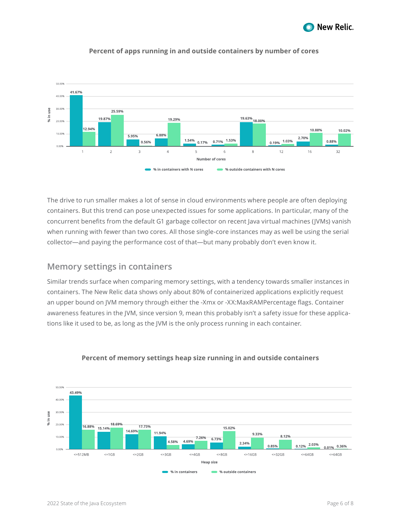

<span id="page-5-0"></span>

#### **Percent of apps running in and outside containers by number of cores**

The drive to run smaller makes a lot of sense in cloud environments where people are often deploying containers. But this trend can pose unexpected issues for some applications. In particular, many of the concurrent benefits from the default G1 garbage collector on recent Java virtual machines (JVMs) vanish when running with fewer than two cores. All those single-core instances may as well be using the serial collector—and paying the performance cost of that—but many probably don't even know it.

#### <span id="page-5-1"></span>**Memory settings in containers**

Similar trends surface when comparing memory settings, with a tendency towards smaller instances in containers. The New Relic data shows only about 80% of containerized applications explicitly request an upper bound on JVM memory through either the -Xmx or -XX:MaxRAMPercentage flags. Container awareness features in the JVM, since version 9, mean this probably isn't a safety issue for these applications like it used to be, as long as the JVM is the only process running in each container.



#### **Percent of memory settings heap size running in and outside containers**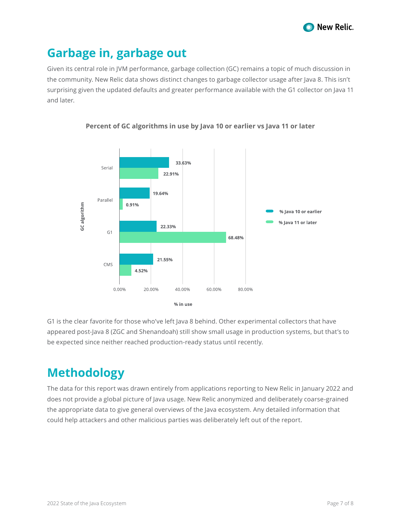

## <span id="page-6-1"></span><span id="page-6-0"></span>**Garbage in, garbage out**

Given its central role in JVM performance, garbage collection (GC) remains a topic of much discussion in the community. New Relic data shows distinct changes to garbage collector usage after Java 8. This isn't surprising given the updated defaults and greater performance available with the G1 collector on Java 11 and later.



**Percent of GC algorithms in use by Java 10 or earlier vs Java 11 or later**

G1 is the clear favorite for those who've left Java 8 behind. Other experimental collectors that have appeared post-Java 8 (ZGC and Shenandoah) still show small usage in production systems, but that's to be expected since neither reached production-ready status until recently.

# **Methodology**

The data for this report was drawn entirely from applications reporting to New Relic in January 2022 and does not provide a global picture of Java usage. New Relic anonymized and deliberately coarse-grained the appropriate data to give general overviews of the Java ecosystem. Any detailed information that could help attackers and other malicious parties was deliberately left out of the report.